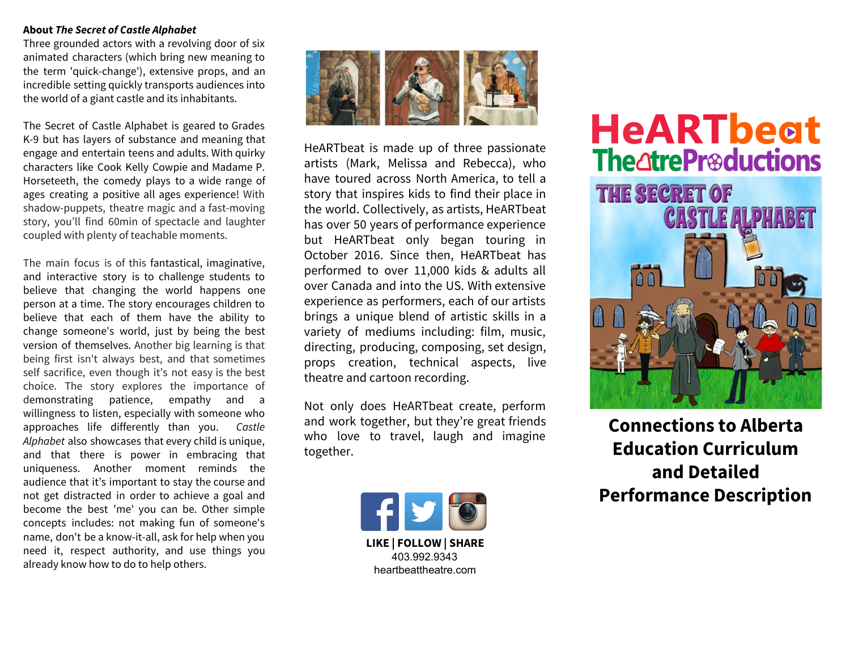#### **About** *The Secret of Castle Alphabet*

Three grounded actors with a revolving door of six animated characters (which bring new meaning to the term 'quick-change'), extensive props, and an incredible setting quickly transports audiences into the world of a giant castle and its inhabitants.

The Secret of Castle Alphabet is geared to Grades K-9 but has layers of substance and meaning that engage and entertain teens and adults. With quirky characters like Cook Kelly Cowpie and Madame P. Horseteeth, the comedy plays to a wide range of ages creating a positive all ages experience! With shadow-puppets, theatre magic and a fast-moving story, you'll find 60min of spectacle and laughter coupled with plenty of teachable moments.

The main focus is of this fantastical, imaginative, and interactive story is to challenge students to believe that changing the world happens one person at a time. The story encourages children to believe that each of them have the ability to change someone's world, just by being the best version of themselves. Another big learning is that being first isn't always best, and that sometimes self sacrifice, even though it's not easy is the best choice. The story explores the importance of demonstrating patience, empathy and a willingness to listen, especially with someone who approaches life differently than you. *Castle Alphabet* also showcases that every child is unique, and that there is power in embracing that uniqueness. Another moment reminds the audience that it's important to stay the course and not get distracted in order to achieve a goal and become the best 'me' you can be. Other simple concepts includes: not making fun of someone's name, don't be a know-it-all, ask for help when you need it, respect authority, and use things you already know how to do to help others.



HeARTbeat is made up of three passionate artists (Mark, Melissa and Rebecca), who have toured across North America, to tell a story that inspires kids to find their place in the world. Collectively, as artists, HeARTbeat has over 50 years of performance experience but HeARTbeat only began touring in October 2016. Since then, HeARTbeat has performed to over 11,000 kids & adults all over Canada and into the US. With extensive experience as performers, each of our artists brings a unique blend of artistic skills in a variety of mediums including: film, music, directing, producing, composing, set design, props creation, technical aspects, live theatre and cartoon recording.

Not only does HeARTbeat create, perform and work together, but they're great friends who love to travel, laugh and imagine together.



# **HeARTbeat The atre Preductions THE SECRET OF CASTLE ALPHABET A**

**Connections to Alberta Education Curriculum and Detailed Performance Description**